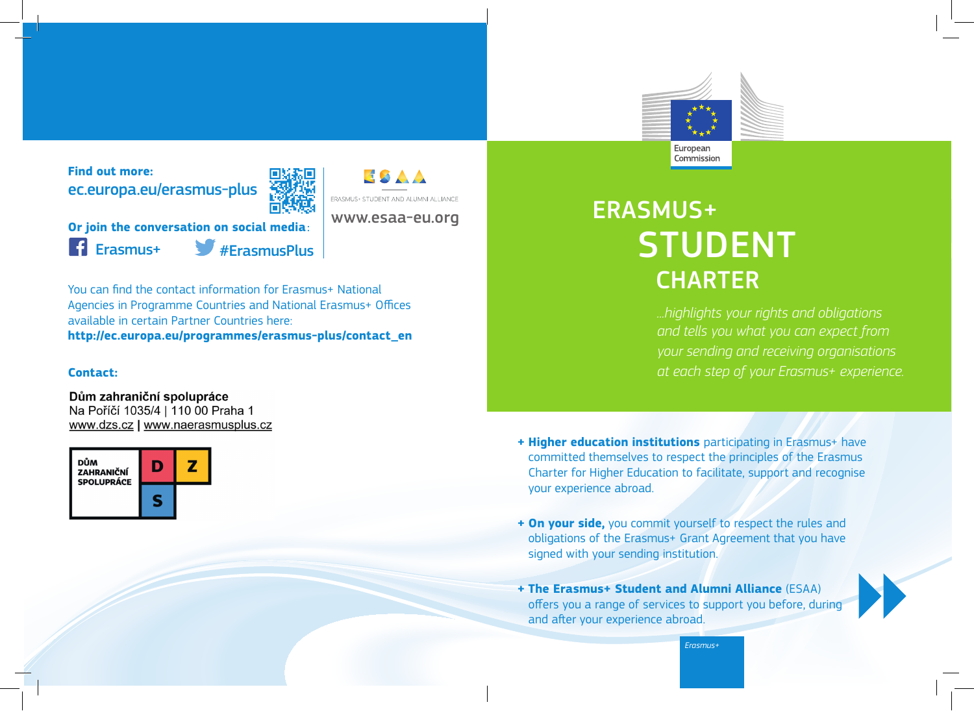

**Find out more:** ec.europa.eu/erasmus-plus



www.esaa-eu.org

**ERASMUS+ STUDENT AND ALUMNI ALLIANCE** 

ESAA

**Or join the conversation on social media**: Erasmus+ #ErasmusPlus

You can find the contact information for Erasmus+ National Agencies in Programme Countries and National Erasmus+ Offices available in certain Partner Countries here: **http://ec.europa.eu/programmes/erasmus-plus/contact\_en**

## **Contact:**

Dům zahraniční spolupráce

Na Poříčí 1035/4 | 110 00 Praha 1 www.dzs.cz | www.naerasmusplus.cz



# ERASMUS+ STUDENT<br>CHARTER

*...highlights your rights and obligations and tells you what you can expect from your sending and receiving organisations at each step of your Erasmus+ experience.*

- **+ Higher education institutions** participating in Erasmus+ have committed themselves to respect the principles of the Erasmus Charter for Higher Education to facilitate, support and recognise your experience abroad.
- **+ On your side,** you commit yourself to respect the rules and obligations of the Erasmus+ Grant Agreement that you have signed with your sending institution.
- **+ The Erasmus+ Student and Alumni Alliance** (ESAA) offers you a range of services to support you before, during and after your experience abroad.

*Erasmus+*